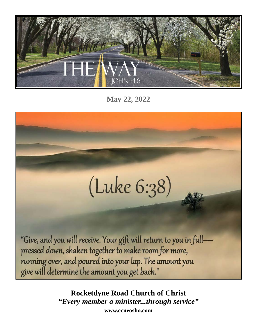

**May 22, 2022**

# (Luke 6:38)

"Give, and you will receive. Your gift will return to you in fullpressed down, shaken together to make room for more, running over, and poured into your lap. The amount you give will determine the amount you get back."

> **Rocketdyne Road Church of Christ** *"Every member a minister...through service"* **www.ccneosho.com**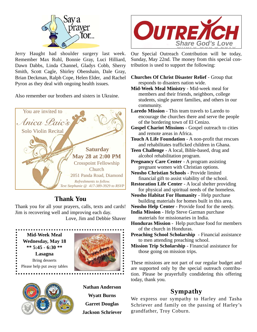

Jerry Haught had shoulder surgery last week. Remember Max Ruhl, Bonnie Gray, Luci Hilliard, Dawn Dabbs, Linda Channel, Gladys Cobb, Sherry Smith, Scott Cagle, Shirley Obenshain, Dale Gray, Brian Deckman, Ralph Cope, Helen Elder, and Rachel Pyron as they deal with ongoing health issues.

Also remember our brothers and sisters in Ukraine.



# **Thank You**

Thank you for all your prayers, calls, texts and cards! Jim is recovering well and improving each day.

Love, Jim and Debbie Shaver

**Mid-Week Meal Wednesday, May 18 \*\* 5:45 - 6:30 \*\* Lasagna** Bring desserts Please help put away tables

. . . . . . . . . . . .





**Nathan Anderson Wyatt Burns Garret Douglas Jackson Schriever**



Our Special Outreach Contribution will be today, Sunday, May 22nd. The money from this special contribution is used to support the following:

- **Churches Of Christ Disaster Relief** Group that responds to disasters nation wide.
- **Mid-Week Meal Ministry** Mid-week meal for members and their friends, neighbors, college students, single parent families, and others in our community.
- **Laredo Mission**  This team travels to Laredo to encourage the churches there and serve the people of the bordering town of El Cenizo.
- **Gospel Chariot Missions**  Gospel outreach to cities and remote areas in Africa.
- **Touch A Life Foundation** A non-profit that rescues and rehabilitates trafficked children in Ghana.
- **Teen Challenge** A local, Bible-based, drug and alcohol rehabilitation program.
- **Pregnancy Care Center** A program assisting pregnant women with Christian options.
- **Neosho Christian Schools** Provide limited financial gift to assist viability of the school.
- **Restoration Life Center** A local shelter providing for physical and spiritual needs of the homeless.
- **Neosho Habitat For Humanity** Help purchase building materials for homes built in this area.
- **Neosho Help Center** Provide food for the needy.
	- **India Mission** Help Steve Garman purchase materials for missionaries in India.
	- **Honduras Mission**  Help purchase food for members of the church in Honduras.
- **Preaching School Scholarship**  Financial assistance to men attending preaching school.
- **Mission Trip Scholarship**  Financial assistance for those going on mission trips.

These missions are not part of our regular budget and are supported only by the special outreach contribution. Please be prayerfully condidering this offering today, thank you.

## **Sympathy**

We express our sympathy to Harley and Tasha Schriever and family on the passing of Harley's grandfather, Troy Coburn.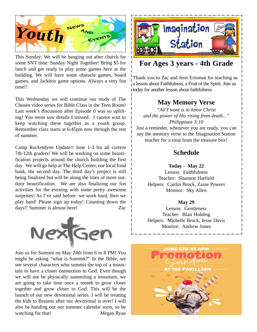

This Sunday: We will be hanging out after church for some SNT time: Sunday Night Together! Bring \$5 for lunch and get ready to play some games here at the building. We will have some obstacle games, board games, and Jackbox game options. Always a very fun time!!

This Wednesday we will continue our study of The Chosen video series for Bible Class in the Teen Room! Last week's discussion after Episode 0 was so uplifting! You teens saw details I missed. I cannot wait to keep watching these together as a youth group. Remember class starts at 6:45pm now through the rest of summer.

Camp Rocketdyne Update!! June 1-3 for all current 7th-12th graders! We will be working on some beautification projects around the church building the first day. We will go help at The Help Center, our local food bank, the second day. The third day's project is still being finalized but will be along the lines of more outdoor beautification. We are also finalizing our fun activities for the evening with some pretty awesome surprises! As I've said before: we work hard, then we play hard! Please sign up today! Counting down the days!! Summer is almost here! Zac



Join us for Summit on May 24th from 6 to 8 PM! You might be asking "what is Summit?" In the Bible, we see several characters who summit the top of a mountain to have a closer connection to God. Even though we will not be physically summiting a mountain, we are going to take time once a month to grow closer together and grow closer to God. This will be the launch of our new devotional series. I will be treating the kids to Braums after our devotional is over! I will also be handing out our summer calendar soon, so be watching for that! Megan Ryan



## **For Ages 3 years - 4th Grade**

Thank you to Zac and Jenn Erisman for teaching us a lesson about Faithfulness, a Fruit of the Spirit. Join us today for another lesson about faithfulness.

## **May Memory Verse**

*"All I want is to know Christ and the power of His rising from death..." Philippians 3:10* Just a reminder, whenever you are ready, you can say the memory verse to the Imagination Station

teacher for a treat from the treasure box!

## **Schedule**

**Today - May 22**

Lesson: Faithfulness Teacher: Shannon Hatfield Helpers: Caitlin Brock, Zaine Powers Monitor: Sky Allen

#### **May 29**

Lesson: Gentleness Teacher: Blair Holding Helpers: Michelle Brock, Jesse Davis Monitor: Andrew Jones